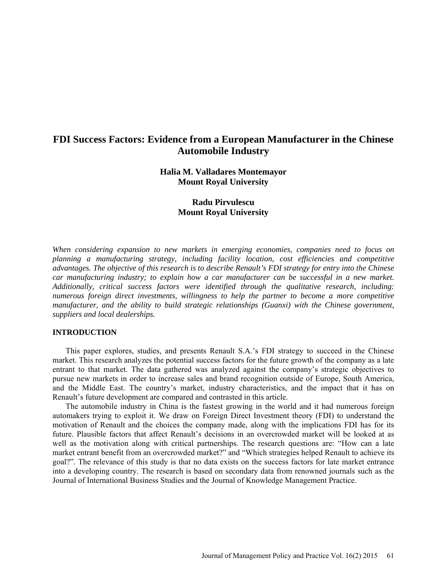# **FDI Success Factors: Evidence from a European Manufacturer in the Chinese Automobile Industry**

# **Halia M. Valladares Montemayor Mount Royal University**

# **Radu Pirvulescu Mount Royal University**

*When considering expansion to new markets in emerging economies, companies need to focus on planning a manufacturing strategy, including facility location, cost efficiencies and competitive advantages. The objective of this research is to describe Renault's FDI strategy for entry into the Chinese car manufacturing industry; to explain how a car manufacturer can be successful in a new market. Additionally, critical success factors were identified through the qualitative research, including: numerous foreign direct investments, willingness to help the partner to become a more competitive manufacturer, and the ability to build strategic relationships (Guanxi) with the Chinese government, suppliers and local dealerships.* 

### **INTRODUCTION**

This paper explores, studies, and presents Renault S.A.'s FDI strategy to succeed in the Chinese market. This research analyzes the potential success factors for the future growth of the company as a late entrant to that market. The data gathered was analyzed against the company's strategic objectives to pursue new markets in order to increase sales and brand recognition outside of Europe, South America, and the Middle East. The country's market, industry characteristics, and the impact that it has on Renault's future development are compared and contrasted in this article.

The automobile industry in China is the fastest growing in the world and it had numerous foreign automakers trying to exploit it. We draw on Foreign Direct Investment theory (FDI) to understand the motivation of Renault and the choices the company made, along with the implications FDI has for its future. Plausible factors that affect Renault's decisions in an overcrowded market will be looked at as well as the motivation along with critical partnerships. The research questions are: "How can a late market entrant benefit from an overcrowded market?" and "Which strategies helped Renault to achieve its goal?". The relevance of this study is that no data exists on the success factors for late market entrance into a developing country. The research is based on secondary data from renowned journals such as the Journal of International Business Studies and the Journal of Knowledge Management Practice.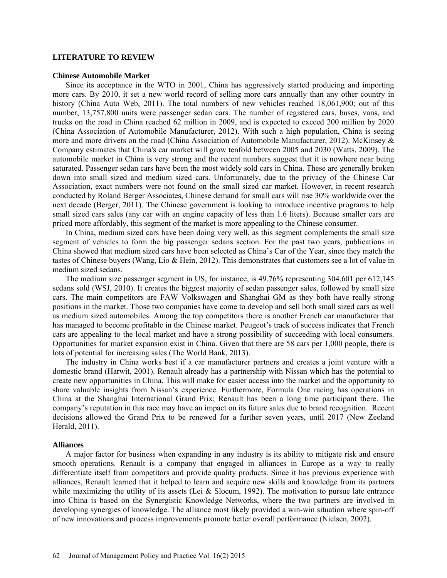# **LITERATURE TO REVIEW**

#### **Chinese Automobile Market**

Since its acceptance in the WTO in 2001, China has aggressively started producing and importing more cars. By 2010, it set a new world record of selling more cars annually than any other country in history (China Auto Web, 2011). The total numbers of new vehicles reached 18,061,900; out of this number, 13,757,800 units were passenger sedan cars. The number of registered cars, buses, vans, and trucks on the road in China reached 62 million in 2009, and is expected to exceed 200 million by 2020 (China Association of Automobile Manufacturer, 2012). With such a high population, China is seeing more and more drivers on the road (China Association of Automobile Manufacturer, 2012). McKinsey & Company estimates that China's car market will grow tenfold between 2005 and 2030 (Watts, 2009). The automobile market in China is very strong and the recent numbers suggest that it is nowhere near being saturated. Passenger sedan cars have been the most widely sold cars in China. These are generally broken down into small sized and medium sized cars. Unfortunately, due to the privacy of the Chinese Car Association, exact numbers were not found on the small sized car market. However, in recent research conducted by Roland Berger Associates, Chinese demand for small cars will rise 30% worldwide over the next decade (Berger, 2011). The Chinese government is looking to introduce incentive programs to help small sized cars sales (any car with an engine capacity of less than 1.6 liters). Because smaller cars are priced more affordably, this segment of the market is more appealing to the Chinese consumer.

In China, medium sized cars have been doing very well, as this segment complements the small size segment of vehicles to form the big passenger sedans section. For the past two years, publications in China showed that medium sized cars have been selected as China's Car of the Year, since they match the tastes of Chinese buyers (Wang, Lio & Hein, 2012). This demonstrates that customers see a lot of value in medium sized sedans.

The medium size passenger segment in US, for instance, is 49.76% representing 304,601 per 612,145 sedans sold (WSJ, 2010). It creates the biggest majority of sedan passenger sales, followed by small size cars. The main competitors are FAW Volkswagen and Shanghai GM as they both have really strong positions in the market. Those two companies have come to develop and sell both small sized cars as well as medium sized automobiles. Among the top competitors there is another French car manufacturer that has managed to become profitable in the Chinese market. Peugeot's track of success indicates that French cars are appealing to the local market and have a strong possibility of succeeding with local consumers. Opportunities for market expansion exist in China. Given that there are 58 cars per 1,000 people, there is lots of potential for increasing sales (The World Bank, 2013).

The industry in China works best if a car manufacturer partners and creates a joint venture with a domestic brand (Harwit, 2001). Renault already has a partnership with Nissan which has the potential to create new opportunities in China. This will make for easier access into the market and the opportunity to share valuable insights from Nissan's experience. Furthermore, Formula One racing has operations in China at the Shanghai International Grand Prix; Renault has been a long time participant there. The company's reputation in this race may have an impact on its future sales due to brand recognition. Recent decisions allowed the Grand Prix to be renewed for a further seven years, until 2017 (New Zeeland Herald, 2011).

#### **Alliances**

A major factor for business when expanding in any industry is its ability to mitigate risk and ensure smooth operations. Renault is a company that engaged in alliances in Europe as a way to really differentiate itself from competitors and provide quality products. Since it has previous experience with alliances, Renault learned that it helped to learn and acquire new skills and knowledge from its partners while maximizing the utility of its assets (Lei & Slocum, 1992). The motivation to pursue late entrance into China is based on the Synergistic Knowledge Networks, where the two partners are involved in developing synergies of knowledge. The alliance most likely provided a win-win situation where spin-off of new innovations and process improvements promote better overall performance (Nielsen, 2002).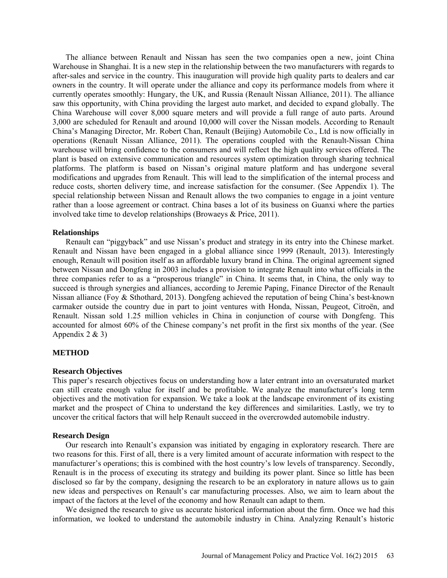The alliance between Renault and Nissan has seen the two companies open a new, joint China Warehouse in Shanghai. It is a new step in the relationship between the two manufacturers with regards to after-sales and service in the country. This inauguration will provide high quality parts to dealers and car owners in the country. It will operate under the alliance and copy its performance models from where it currently operates smoothly: Hungary, the UK, and Russia (Renault Nissan Alliance, 2011). The alliance saw this opportunity, with China providing the largest auto market, and decided to expand globally. The China Warehouse will cover 8,000 square meters and will provide a full range of auto parts. Around 3,000 are scheduled for Renault and around 10,000 will cover the Nissan models. According to Renault China's Managing Director, Mr. Robert Chan, Renault (Beijing) Automobile Co., Ltd is now officially in operations (Renault Nissan Alliance, 2011). The operations coupled with the Renault-Nissan China warehouse will bring confidence to the consumers and will reflect the high quality services offered. The plant is based on extensive communication and resources system optimization through sharing technical platforms. The platform is based on Nissan's original mature platform and has undergone several modifications and upgrades from Renault. This will lead to the simplification of the internal process and reduce costs, shorten delivery time, and increase satisfaction for the consumer. (See Appendix 1). The special relationship between Nissan and Renault allows the two companies to engage in a joint venture rather than a loose agreement or contract. China bases a lot of its business on Guanxi where the parties involved take time to develop relationships (Browaeys & Price, 2011).

### **Relationships**

Renault can "piggyback" and use Nissan's product and strategy in its entry into the Chinese market. Renault and Nissan have been engaged in a global alliance since 1999 (Renault, 2013). Interestingly enough, Renault will position itself as an affordable luxury brand in China. The original agreement signed between Nissan and Dongfeng in 2003 includes a provision to integrate Renault into what officials in the three companies refer to as a "prosperous triangle" in China. It seems that, in China, the only way to succeed is through synergies and alliances, according to Jeremie Paping, Finance Director of the Renault Nissan alliance (Foy & Sthothard, 2013). Dongfeng achieved the reputation of being China's best-known carmaker outside the country due in part to joint ventures with Honda, Nissan, Peugeot, Citroën, and Renault. Nissan sold 1.25 million vehicles in China in conjunction of course with Dongfeng. This accounted for almost 60% of the Chinese company's net profit in the first six months of the year. (See Appendix  $2 \& 3$ )

# **METHOD**

#### **Research Objectives**

This paper's research objectives focus on understanding how a later entrant into an oversaturated market can still create enough value for itself and be profitable. We analyze the manufacturer's long term objectives and the motivation for expansion. We take a look at the landscape environment of its existing market and the prospect of China to understand the key differences and similarities. Lastly, we try to uncover the critical factors that will help Renault succeed in the overcrowded automobile industry.

#### **Research Design**

Our research into Renault's expansion was initiated by engaging in exploratory research. There are two reasons for this. First of all, there is a very limited amount of accurate information with respect to the manufacturer's operations; this is combined with the host country's low levels of transparency. Secondly, Renault is in the process of executing its strategy and building its power plant. Since so little has been disclosed so far by the company, designing the research to be an exploratory in nature allows us to gain new ideas and perspectives on Renault's car manufacturing processes. Also, we aim to learn about the impact of the factors at the level of the economy and how Renault can adapt to them.

We designed the research to give us accurate historical information about the firm. Once we had this information, we looked to understand the automobile industry in China. Analyzing Renault's historic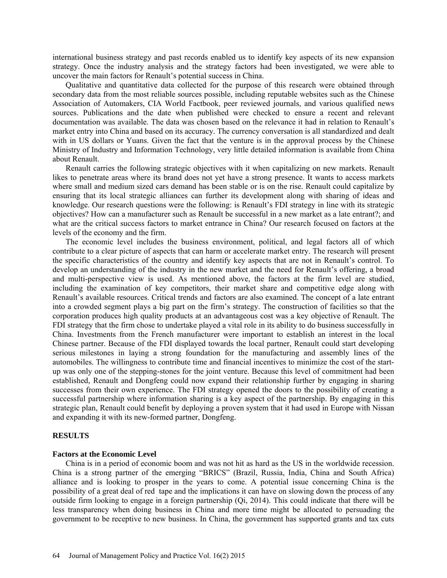international business strategy and past records enabled us to identify key aspects of its new expansion strategy. Once the industry analysis and the strategy factors had been investigated, we were able to uncover the main factors for Renault's potential success in China.

Qualitative and quantitative data collected for the purpose of this research were obtained through secondary data from the most reliable sources possible, including reputable websites such as the Chinese Association of Automakers, CIA World Factbook, peer reviewed journals, and various qualified news sources. Publications and the date when published were checked to ensure a recent and relevant documentation was available. The data was chosen based on the relevance it had in relation to Renault's market entry into China and based on its accuracy. The currency conversation is all standardized and dealt with in US dollars or Yuans. Given the fact that the venture is in the approval process by the Chinese Ministry of Industry and Information Technology, very little detailed information is available from China about Renault.

Renault carries the following strategic objectives with it when capitalizing on new markets. Renault likes to penetrate areas where its brand does not yet have a strong presence. It wants to access markets where small and medium sized cars demand has been stable or is on the rise. Renault could capitalize by ensuring that its local strategic alliances can further its development along with sharing of ideas and knowledge. Our research questions were the following: is Renault's FDI strategy in line with its strategic objectives? How can a manufacturer such as Renault be successful in a new market as a late entrant?; and what are the critical success factors to market entrance in China? Our research focused on factors at the levels of the economy and the firm.

The economic level includes the business environment, political, and legal factors all of which contribute to a clear picture of aspects that can harm or accelerate market entry. The research will present the specific characteristics of the country and identify key aspects that are not in Renault's control. To develop an understanding of the industry in the new market and the need for Renault's offering, a broad and multi-perspective view is used. As mentioned above, the factors at the firm level are studied, including the examination of key competitors, their market share and competitive edge along with Renault's available resources. Critical trends and factors are also examined. The concept of a late entrant into a crowded segment plays a big part on the firm's strategy. The construction of facilities so that the corporation produces high quality products at an advantageous cost was a key objective of Renault. The FDI strategy that the firm chose to undertake played a vital role in its ability to do business successfully in China. Investments from the French manufacturer were important to establish an interest in the local Chinese partner. Because of the FDI displayed towards the local partner, Renault could start developing serious milestones in laying a strong foundation for the manufacturing and assembly lines of the automobiles. The willingness to contribute time and financial incentives to minimize the cost of the startup was only one of the stepping-stones for the joint venture. Because this level of commitment had been established, Renault and Dongfeng could now expand their relationship further by engaging in sharing successes from their own experience. The FDI strategy opened the doors to the possibility of creating a successful partnership where information sharing is a key aspect of the partnership. By engaging in this strategic plan, Renault could benefit by deploying a proven system that it had used in Europe with Nissan and expanding it with its new-formed partner, Dongfeng.

#### **RESULTS**

#### **Factors at the Economic Level**

China is in a period of economic boom and was not hit as hard as the US in the worldwide recession. China is a strong partner of the emerging "BRICS" (Brazil, Russia, India, China and South Africa) alliance and is looking to prosper in the years to come. A potential issue concerning China is the possibility of a great deal of red tape and the implications it can have on slowing down the process of any outside firm looking to engage in a foreign partnership (Qi, 2014). This could indicate that there will be less transparency when doing business in China and more time might be allocated to persuading the government to be receptive to new business. In China, the government has supported grants and tax cuts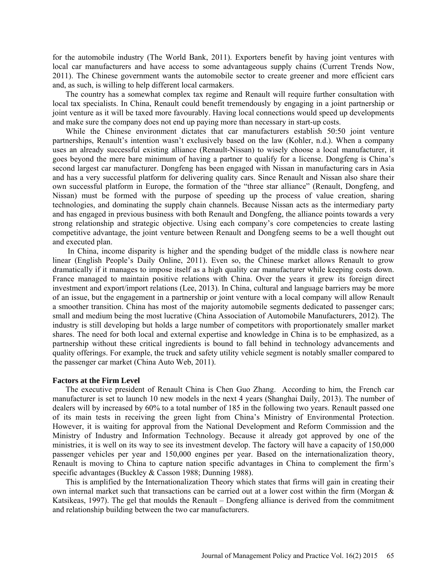for the automobile industry (The World Bank, 2011). Exporters benefit by having joint ventures with local car manufacturers and have access to some advantageous supply chains (Current Trends Now, 2011). The Chinese government wants the automobile sector to create greener and more efficient cars and, as such, is willing to help different local carmakers.

The country has a somewhat complex tax regime and Renault will require further consultation with local tax specialists. In China, Renault could benefit tremendously by engaging in a joint partnership or joint venture as it will be taxed more favourably. Having local connections would speed up developments and make sure the company does not end up paying more than necessary in start-up costs.

While the Chinese environment dictates that car manufacturers establish 50:50 joint venture partnerships, Renault's intention wasn't exclusively based on the law (Kohler, n.d.). When a company uses an already successful existing alliance (Renault-Nissan) to wisely choose a local manufacturer, it goes beyond the mere bare minimum of having a partner to qualify for a license. Dongfeng is China's second largest car manufacturer. Dongfeng has been engaged with Nissan in manufacturing cars in Asia and has a very successful platform for delivering quality cars. Since Renault and Nissan also share their own successful platform in Europe, the formation of the "three star alliance" (Renault, Dongfeng, and Nissan) must be formed with the purpose of speeding up the process of value creation, sharing technologies, and dominating the supply chain channels. Because Nissan acts as the intermediary party and has engaged in previous business with both Renault and Dongfeng, the alliance points towards a very strong relationship and strategic objective. Using each company's core competencies to create lasting competitive advantage, the joint venture between Renault and Dongfeng seems to be a well thought out and executed plan.

In China, income disparity is higher and the spending budget of the middle class is nowhere near linear (English People's Daily Online, 2011). Even so, the Chinese market allows Renault to grow dramatically if it manages to impose itself as a high quality car manufacturer while keeping costs down. France managed to maintain positive relations with China. Over the years it grew its foreign direct investment and export/import relations (Lee, 2013). In China, cultural and language barriers may be more of an issue, but the engagement in a partnership or joint venture with a local company will allow Renault a smoother transition. China has most of the majority automobile segments dedicated to passenger cars; small and medium being the most lucrative (China Association of Automobile Manufacturers, 2012). The industry is still developing but holds a large number of competitors with proportionately smaller market shares. The need for both local and external expertise and knowledge in China is to be emphasized, as a partnership without these critical ingredients is bound to fall behind in technology advancements and quality offerings. For example, the truck and safety utility vehicle segment is notably smaller compared to the passenger car market (China Auto Web, 2011).

#### **Factors at the Firm Level**

The executive president of Renault China is Chen Guo Zhang. According to him, the French car manufacturer is set to launch 10 new models in the next 4 years (Shanghai Daily, 2013). The number of dealers will by increased by 60% to a total number of 185 in the following two years. Renault passed one of its main tests in receiving the green light from China's Ministry of Environmental Protection. However, it is waiting for approval from the National Development and Reform Commission and the Ministry of Industry and Information Technology. Because it already got approved by one of the ministries, it is well on its way to see its investment develop. The factory will have a capacity of 150,000 passenger vehicles per year and 150,000 engines per year. Based on the internationalization theory, Renault is moving to China to capture nation specific advantages in China to complement the firm's specific advantages (Buckley & Casson 1988; Dunning 1988).

This is amplified by the Internationalization Theory which states that firms will gain in creating their own internal market such that transactions can be carried out at a lower cost within the firm (Morgan & Katsikeas, 1997). The gel that moulds the Renault – Dongfeng alliance is derived from the commitment and relationship building between the two car manufacturers.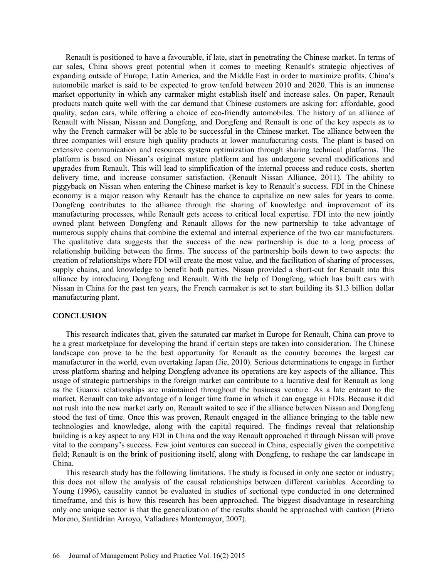Renault is positioned to have a favourable, if late, start in penetrating the Chinese market. In terms of car sales, China shows great potential when it comes to meeting Renault's strategic objectives of expanding outside of Europe, Latin America, and the Middle East in order to maximize profits. China's automobile market is said to be expected to grow tenfold between 2010 and 2020. This is an immense market opportunity in which any carmaker might establish itself and increase sales. On paper, Renault products match quite well with the car demand that Chinese customers are asking for: affordable, good quality, sedan cars, while offering a choice of eco-friendly automobiles. The history of an alliance of Renault with Nissan, Nissan and Dongfeng, and Dongfeng and Renault is one of the key aspects as to why the French carmaker will be able to be successful in the Chinese market. The alliance between the three companies will ensure high quality products at lower manufacturing costs. The plant is based on extensive communication and resources system optimization through sharing technical platforms. The platform is based on Nissan's original mature platform and has undergone several modifications and upgrades from Renault. This will lead to simplification of the internal process and reduce costs, shorten delivery time, and increase consumer satisfaction. (Renault Nissan Alliance, 2011). The ability to piggyback on Nissan when entering the Chinese market is key to Renault's success. FDI in the Chinese economy is a major reason why Renault has the chance to capitalize on new sales for years to come. Dongfeng contributes to the alliance through the sharing of knowledge and improvement of its manufacturing processes, while Renault gets access to critical local expertise. FDI into the new jointly owned plant between Dongfeng and Renault allows for the new partnership to take advantage of numerous supply chains that combine the external and internal experience of the two car manufacturers. The qualitative data suggests that the success of the new partnership is due to a long process of relationship building between the firms. The success of the partnership boils down to two aspects: the creation of relationships where FDI will create the most value, and the facilitation of sharing of processes, supply chains, and knowledge to benefit both parties. Nissan provided a short-cut for Renault into this alliance by introducing Dongfeng and Renault. With the help of Dongfeng, which has built cars with Nissan in China for the past ten years, the French carmaker is set to start building its \$1.3 billion dollar manufacturing plant.

#### **CONCLUSION**

This research indicates that, given the saturated car market in Europe for Renault, China can prove to be a great marketplace for developing the brand if certain steps are taken into consideration. The Chinese landscape can prove to be the best opportunity for Renault as the country becomes the largest car manufacturer in the world, even overtaking Japan (Jie, 2010). Serious determinations to engage in further cross platform sharing and helping Dongfeng advance its operations are key aspects of the alliance. This usage of strategic partnerships in the foreign market can contribute to a lucrative deal for Renault as long as the Guanxi relationships are maintained throughout the business venture. As a late entrant to the market, Renault can take advantage of a longer time frame in which it can engage in FDIs. Because it did not rush into the new market early on, Renault waited to see if the alliance between Nissan and Dongfeng stood the test of time. Once this was proven, Renault engaged in the alliance bringing to the table new technologies and knowledge, along with the capital required. The findings reveal that relationship building is a key aspect to any FDI in China and the way Renault approached it through Nissan will prove vital to the company's success. Few joint ventures can succeed in China, especially given the competitive field; Renault is on the brink of positioning itself, along with Dongfeng, to reshape the car landscape in China.

This research study has the following limitations. The study is focused in only one sector or industry; this does not allow the analysis of the causal relationships between different variables. According to Young (1996), causality cannot be evaluated in studies of sectional type conducted in one determined timeframe, and this is how this research has been approached. The biggest disadvantage in researching only one unique sector is that the generalization of the results should be approached with caution (Prieto Moreno, Santidrian Arroyo, Valladares Montemayor, 2007).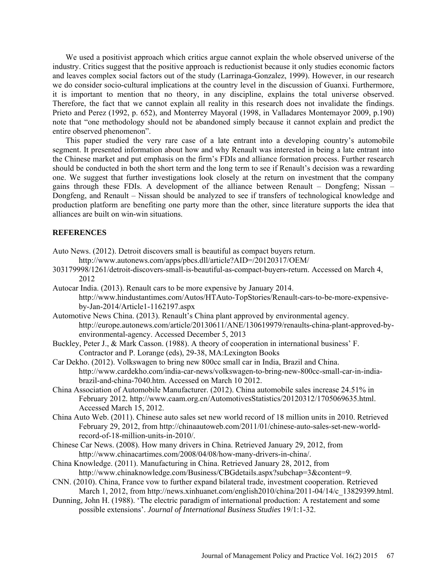We used a positivist approach which critics argue cannot explain the whole observed universe of the industry. Critics suggest that the positive approach is reductionist because it only studies economic factors and leaves complex social factors out of the study (Larrinaga-Gonzalez, 1999). However, in our research we do consider socio-cultural implications at the country level in the discussion of Guanxi. Furthermore, it is important to mention that no theory, in any discipline, explains the total universe observed. Therefore, the fact that we cannot explain all reality in this research does not invalidate the findings. Prieto and Perez (1992, p. 652), and Monterrey Mayoral (1998, in Valladares Montemayor 2009, p.190) note that "one methodology should not be abandoned simply because it cannot explain and predict the entire observed phenomenon".

This paper studied the very rare case of a late entrant into a developing country's automobile segment. It presented information about how and why Renault was interested in being a late entrant into the Chinese market and put emphasis on the firm's FDIs and alliance formation process. Further research should be conducted in both the short term and the long term to see if Renault's decision was a rewarding one. We suggest that further investigations look closely at the return on investment that the company gains through these FDIs. A development of the alliance between Renault – Dongfeng; Nissan – Dongfeng, and Renault – Nissan should be analyzed to see if transfers of technological knowledge and production platform are benefiting one party more than the other, since literature supports the idea that alliances are built on win-win situations.

# **REFERENCES**

- Auto News. (2012). Detroit discovers small is beautiful as compact buyers return.
	- http://www.autonews.com/apps/pbcs.dll/article?AID=/20120317/OEM/
- 303179998/1261/detroit-discovers-small-is-beautiful-as-compact-buyers-return. Accessed on March 4, 2012
- Autocar India. (2013). Renault cars to be more expensive by January 2014. [http://www.hindustantimes.com/Autos/HTAuto-TopStories/Renault-cars-to-be-more-expensive](http://www.hindustantimes.com/Autos/HTAuto-TopStories/Renault-cars-to-be-more-expensive-by-Jan-2014/Article1-1162197.aspx)[by-Jan-2014/Article1-1162197.aspx](http://www.hindustantimes.com/Autos/HTAuto-TopStories/Renault-cars-to-be-more-expensive-by-Jan-2014/Article1-1162197.aspx)
- Automotive News China. (2013). Renault's China plant approved by environmental agency. http://europe.autonews.com/article/20130611/ANE/130619979/renaults-china-plant-approved-byenvironmental-agency. Accessed December 5, 2013
- Buckley, Peter J., & Mark Casson. (1988). A theory of cooperation in international business' F. Contractor and P. Lorange (eds), 29-38, MA:Lexington Books
- Car Dekho. (2012). Volkswagen to bring new 800cc small car in India, Brazil and China. http://www.cardekho.com/india-car-news/volkswagen-to-bring-new-800cc-small-car-in-indiabrazil-and-china-7040.htm. Accessed on March 10 2012.
- China Association of Automobile Manufacturer. (2012). China automobile sales increase 24.51% in February 2012*.* http://www.caam.org.cn/AutomotivesStatistics/20120312/1705069635.html. Accessed March 15, 2012.
- China Auto Web. (2011). Chinese auto sales set new world record of 18 million units in 2010. Retrieved February 29, 2012, from [http://chinaautoweb.com/2011/01/chinese-auto-sales-set-new-world](http://chinaautoweb.com/2011/01/chinese-auto-sales-set-new-world-record-of-18-million-units-in-2010/)[record-of-18-million-units-in-2010/.](http://chinaautoweb.com/2011/01/chinese-auto-sales-set-new-world-record-of-18-million-units-in-2010/)
- Chinese Car News. (2008). How many drivers in China. Retrieved January 29, 2012, from http:/[/www.chinacartimes.com/2008/04/08/how-many-drivers-in-china/.](http://www.chinacartimes.com/2008/04/08/how-many-drivers-in-china/)
- China Knowledge. (2011). Manufacturing in China. Retrieved January 28, 2012, from http:/[/www.chinaknowledge.com/Business/CBGdetails.aspx?subchap=3&content=9.](http://www.chinaknowledge.com/Business/CBGdetails.aspx?subchap=3&content=9)
- CNN. (2010). China, France vow to further expand bilateral trade, investment cooperation. Retrieved March 1, 2012, from [http://news.xinhuanet.com/english2010/china/2011-04/14/c\\_13829399.html](http://news.xinhuanet.com/english2010/china/2011-04/14/c_13829399.htm).
- Dunning, John H. (1988). 'The electric paradigm of international production: A restatement and some possible extensions'. *Journal of International Business Studies* 19/1:1-32.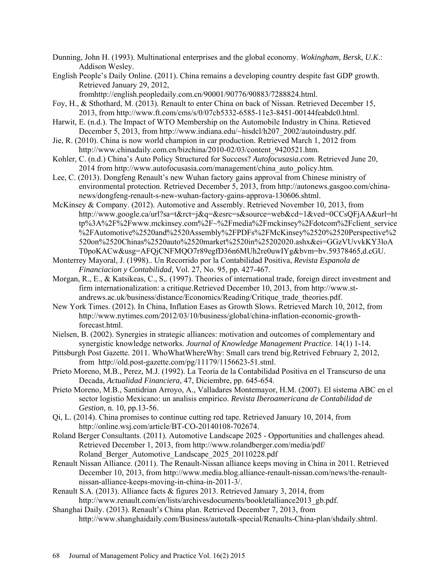Dunning, John H. (1993). Multinational enterprises and the global economy. *Wokingham, Bersk, U.K*.: Addison Wesley.

English People's Daily Online. (2011). China remains a developing country despite fast GDP growth. Retrieved January 29, 2012,

fromhttp://english.peopledaily.com.cn/90001/90776/90883/7288824.html.

- Foy, H., & Sthothard, M. (2013). Renault to enter China on back of Nissan. Retrieved December 15, 2013, from [http://www.ft.com/cms/s/0/07cb5332-6585-11e3-8451-00144feabdc0.html.](http://www.ft.com/cms/s/0/07cb5332-6585-11e3-8451-00144feabdc0.html)
- Harwit, E. (n.d.). The Impact of WTO Membership on the Automobile Industry in China. Retieved December 5, 2013, from http://www.indiana.edu/~hisdcl/h207\_2002/autoindustry.pdf.
- Jie, R. (2010). China is now world champion in car production. Retrieved March 1, 2012 from http://www.chinadaily.com.cn/bizchina/2010-02/03/content\_9420521.htm.
- Kohler, C. (n.d.) China's Auto Policy Structured for Success? *Autofocusasia.com*. Retrieved June 20, 2014 from http://www.autofocusasia.com/management/china\_auto\_policy.htm.
- Lee, C. (2013). Dongfeng Renault's new Wuhan factory gains approval from Chinese ministry of environmental protection. Retrieved December 5, 2013, from [http://autonews.gasgoo.com/china](http://autonews.gasgoo.com/china-news/dongfeng-renault-s-new-wuhan-factory-gains-approva-130606.shtml)[news/dongfeng-renault-s-new-wuhan-factory-gains-approva-130606.shtml.](http://autonews.gasgoo.com/china-news/dongfeng-renault-s-new-wuhan-factory-gains-approva-130606.shtml)
- McKinsey & Company. (2012). Automotive and Assembly. Retrieved November 10, 2013, from http://www.google.ca/url?sa=t&rct=j&q=&esrc=s&source=web&cd=1&ved=0CCsQFjAA&url=ht tp%3A%2F%2Fwww.mckinsey.com%2F~%2Fmedia%2Fmckinsey%2Fdotcom%2Fclient\_service %2FAutomotive%2520and%2520Assembly%2FPDFs%2FMcKinsey%2520%2520Perspective%2 520on%2520Chinas%2520auto%2520market%2520in%25202020.ashx&ei=GGzVUvvkKY3loA T0poKACw&usg=AFQjCNFMQO7r89egfD36n6MUh2re0uwIYg&bvm=bv.59378465,d.cGU.
- Monterrey Mayoral, J. (1998).. Un Recorrido por la Contabilidad Positiva, *Revista Espanola de Financiacion y Contabilidad,* Vol. 27, No. 95, pp. 427-467.
- Morgan, R., E., & Katsikeas, C., S,. (1997). Theories of international trade, foreign direct investment and firm internationalization: a critique.Retrieved December 10, 2013, from http://www.standrews.ac.uk/business/distance/Economics/Reading/Critique\_trade\_theories.pdf.
- New York Times. (2012). In China, Inflation Eases as Growth Slows. Retrieved March 10, 2012, from http://www.nytimes.com/2012/03/10/business/global/china-inflation-economic-growthforecast.html.
- Nielsen, B. (2002). Synergies in strategic alliances: motivation and outcomes of complementary and synergistic knowledge networks. *Journal of Knowledge Management Practice*. 14(1) 1-14.
- Pittsburgh Post Gazette. 2011. WhoWhatWhereWhy: Small cars trend big*.*Retrived February 2, 2012, from [http://old.post-gazette.com/pg/11179/1156623-51.stml](http://old.post-gazette.com/pg/11179/1156623-51.stm).
- Prieto Moreno, M.B., Perez, M.J. (1992). La Teoria de la Contabilidad Positiva en el Transcurso de una Decada, *Actualidad Financiera,* 47, Diciembre, pp. 645-654.
- Prieto Moreno, M.B., Santidrian Arroyo, A., Valladares Montemayor, H.M. (2007). El sistema ABC en el sector logistio Mexicano: un analisis empirico. *Revista Iberoamericana de Contabilidad de Gestion,* n. 10, pp.13-56.
- Qi, L. (2014). China promises to continue cutting red tape. Retrieved January 10, 2014, from http://online.wsj.com/article/BT-CO-20140108-702674.
- Roland Berger Consultants. (2011). Automotive Landscape 2025 Opportunities and challenges ahead. Retrieved December 1, 2013, from<http://www.rolandberger.com/media/pdf/> Roland\_Berger\_Automotive\_Landscape\_2025\_20110228.pdf
- Renault Nissan Alliance. (2011). The Renault-Nissan alliance keeps moving in China in 2011*.* Retrieved December 10, 2013, from [http://www.media.blog.alliance-renault-nissan.com/news/the-renault](http://www.media.blog.alliance-renault-nissan.com/news/the-renault-nissan-alliance-keeps-moving-in-china-in-2011-3/)[nissan-alliance-keeps-moving-in-china-in-2011-3/.](http://www.media.blog.alliance-renault-nissan.com/news/the-renault-nissan-alliance-keeps-moving-in-china-in-2011-3/)
- Renault S.A. (2013). Alliance facts & figures 2013. Retrieved January 3, 2014, from [http://www.renault.com/en/lists/archivesdocuments/bookletalliance2013\\_gb.pdf.](http://www.renault.com/en/lists/archivesdocuments/bookletalliance2013_gb.pdf)
- Shanghai Daily. (2013). Renault's China plan. Retrieved December 7, 2013, from [http://www.shanghaidaily.com/Business/autotalk-special/Renaults-China-plan/shdaily.shtml.](http://www.shanghaidaily.com/Business/autotalk-special/Renaults-China-plan/shdaily.shtml)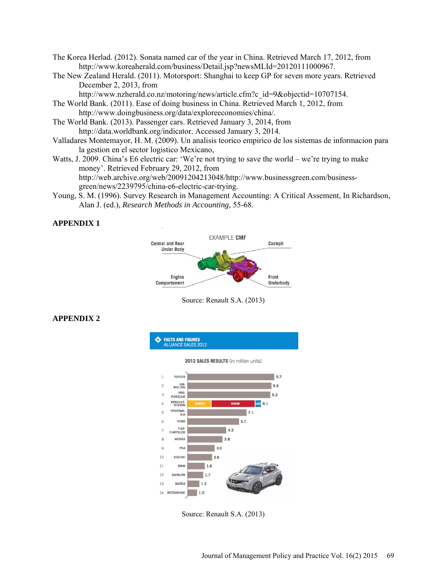- The Korea Herlad. (2012). Sonata named car of the year in China. Retrieved March 17, 2012, from http://www.koreaherald.com/business/Detail.jsp?newsMLId=20120111000967.
- The New Zealand Herald. (2011). Motorsport: Shanghai to keep GP for seven more years. Retrieved December 2, 2013, from

http://www.nzherald.co.nz/motoring/news/article.cfm?c\_id=9&objectid=10707154.

- The World Bank. (2011). Ease of doing business in China. Retrieved March 1, 2012, from http://www.doingbusiness.org/data/exploreeconomies/china/.
- The World Bank. (2013). Passenger cars. Retrieved January 3, 2014, from http://data.worldbank.org/indicator. Accessed January 3, 2014.
- Valladares Montemayor, H. M. (2009). Un analisis teorico empirico de los sistemas de informacion para la gestion en el sector logistico Mexicano,
- Watts, J. 2009. China's E6 electric car: 'We're not trying to save the world we're trying to make money'. Retrieved February 29, 2012, from http://web.archive.org/web/20091204213048/http://www.businessgreen.com/business-

green/news/2239795/china-e6-electric-car-trying.

Young, S. M. (1996). Survey Research in Management Accounting: A Critical Assement, In Richardson, Alan J. (ed.), *Research Methods in Accounting,* 55-68.

# **APPENDIX 1**



Source: Renault S.A. (2013)

# **APPENDIX 2**



Source: Renault S.A. (2013)